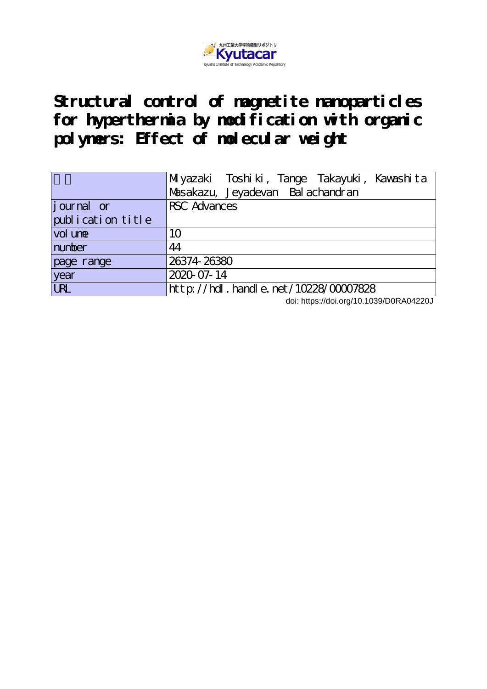

**Structural control of magnetite nanoparticles for hyperthermia by modification with organic polymers: Effect of molecular weight**

|                   | Miyazaki Toshiki, Tange Takayuki, Kawashita |
|-------------------|---------------------------------------------|
|                   | Masakazu, Jeyadevan Balachandran            |
| journal or        | <b>RSC</b> Advances                         |
| publication title |                                             |
| vol une           | 10                                          |
| number            | 44                                          |
| page range        | 26374 26380                                 |
| year              | 2020-07-14                                  |
| <b>URL</b>        | http://hdl.handle.net/10228/00007828        |

doi: https://doi.org/10.1039/D0RA04220J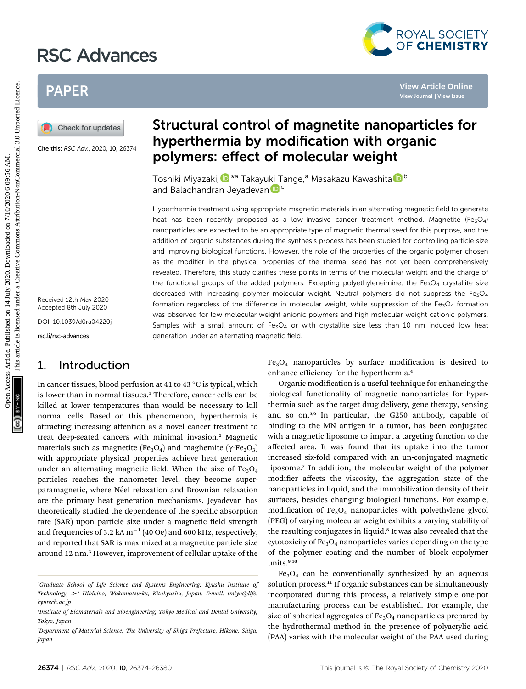# RSC Advances



## PAPER

Cite this: RSC Adv., 2020, 10, 26374

Received 12th May 2020 Accepted 8th July 2020 DOI: 10.1039/d0ra04220j

rsc.li/rsc-advances

## 1. Introduction

In cancer tissues, blood perfusion at 41 to 43  $\degree$ C is typical, which is lower than in normal tissues.<sup>1</sup> Therefore, cancer cells can be killed at lower temperatures than would be necessary to kill normal cells. Based on this phenomenon, hyperthermia is attracting increasing attention as a novel cancer treatment to treat deep-seated cancers with minimal invasion.<sup>2</sup> Magnetic materials such as magnetite (Fe<sub>3</sub>O<sub>4</sub>) and maghemite ( $\gamma$ -Fe<sub>2</sub>O<sub>3</sub>) with appropriate physical properties achieve heat generation under an alternating magnetic field. When the size of  $Fe<sub>3</sub>O<sub>4</sub>$ particles reaches the nanometer level, they become superparamagnetic, where Néel relaxation and Brownian relaxation are the primary heat generation mechanisms. Jeyadevan has theoretically studied the dependence of the specific absorption rate (SAR) upon particle size under a magnetic field strength and frequencies of 3.2 kA  $m^{-1}$  (40 Oe) and 600 kHz, respectively, and reported that SAR is maximized at a magnetite particle size around 12 nm.<sup>3</sup> However, improvement of cellular uptake of the

# Structural control of magnetite nanoparticles for hyperthermia by modification with organic polymers: effect of molecular weight

Toshiki Miyazaki[,](http://orcid.org/0000-0001-5642-0096) D<sup>\*a</sup> Takayu[ki](http://orcid.org/0000-0002-5296-5598) [T](http://orcid.org/0000-0002-5296-5598)ange,<sup>a</sup> Masakazu Kawashita D<sup>b</sup> and Balachandran Jeyadevan<sup>Dc</sup>

Hyperthermia treatment using appropriate magnetic materials in an alternating magnetic field to generate heat has been recently proposed as a low-invasive cancer treatment method. Magnetite (Fe<sub>3</sub>O<sub>4</sub>) nanoparticles are expected to be an appropriate type of magnetic thermal seed for this purpose, and the addition of organic substances during the synthesis process has been studied for controlling particle size and improving biological functions. However, the role of the properties of the organic polymer chosen as the modifier in the physical properties of the thermal seed has not yet been comprehensively revealed. Therefore, this study clarifies these points in terms of the molecular weight and the charge of the functional groups of the added polymers. Excepting polyethyleneimine, the Fe<sub>3</sub>O<sub>4</sub> crystallite size decreased with increasing polymer molecular weight. Neutral polymers did not suppress the Fe<sub>3</sub>O<sub>4</sub> formation regardless of the difference in molecular weight, while suppression of the Fe<sub>3</sub>O<sub>4</sub> formation was observed for low molecular weight anionic polymers and high molecular weight cationic polymers. Samples with a small amount of Fe<sub>3</sub>O<sub>4</sub> or with crystallite size less than 10 nm induced low heat generation under an alternating magnetic field. PAPER<br> **EXERCT AND AND CRIME SUBDIVERTRIE CONTINUES IN A SURFORMATE CONTINUES SOMETIME SUBDIVERTRIE AND INTERNATIONAL CONTINUES SURFACT AND ASSOCIATE THE CONTINUES IN A SURFACT THAT THE CONTINUES IN THE CONTINUES IN A SUR** 

 $Fe<sub>3</sub>O<sub>4</sub>$  nanoparticles by surface modification is desired to enhance efficiency for the hyperthermia.<sup>4</sup>

Organic modification is a useful technique for enhancing the biological functionality of magnetic nanoparticles for hyperthermia such as the target drug delivery, gene therapy, sensing and so on.<sup>5,6</sup> In particular, the G250 antibody, capable of binding to the MN antigen in a tumor, has been conjugated with a magnetic liposome to impart a targeting function to the affected area. It was found that its uptake into the tumor increased six-fold compared with an un-conjugated magnetic liposome.<sup>7</sup> In addition, the molecular weight of the polymer modifier affects the viscosity, the aggregation state of the nanoparticles in liquid, and the immobilization density of their surfaces, besides changing biological functions. For example, modification of  $Fe<sub>3</sub>O<sub>4</sub>$  nanoparticles with polyethylene glycol (PEG) of varying molecular weight exhibits a varying stability of the resulting conjugates in liquid.<sup>8</sup> It was also revealed that the cytotoxicity of  $Fe<sub>3</sub>O<sub>4</sub>$  nanoparticles varies depending on the type of the polymer coating and the number of block copolymer units.<sup>9,10</sup>

 $Fe<sub>3</sub>O<sub>4</sub>$  can be conventionally synthesized by an aqueous solution process.<sup>11</sup> If organic substances can be simultaneously incorporated during this process, a relatively simple one-pot manufacturing process can be established. For example, the size of spherical aggregates of  $Fe<sub>3</sub>O<sub>4</sub>$  nanoparticles prepared by the hydrothermal method in the presence of polyacrylic acid (PAA) varies with the molecular weight of the PAA used during

a Graduate School of Life Science and Systems Engineering, Kyushu Institute of Technology, 2-4 Hibikino, Wakamatsu-ku, Kitakyushu, Japan. E-mail: tmiya@life. kyutech.ac.jp

b Institute of Biomaterials and Bioengineering, Tokyo Medical and Dental University, Tokyo, Japan

Department of Material Science, The University of Shiga Prefecture, Hikone, Shiga, Japan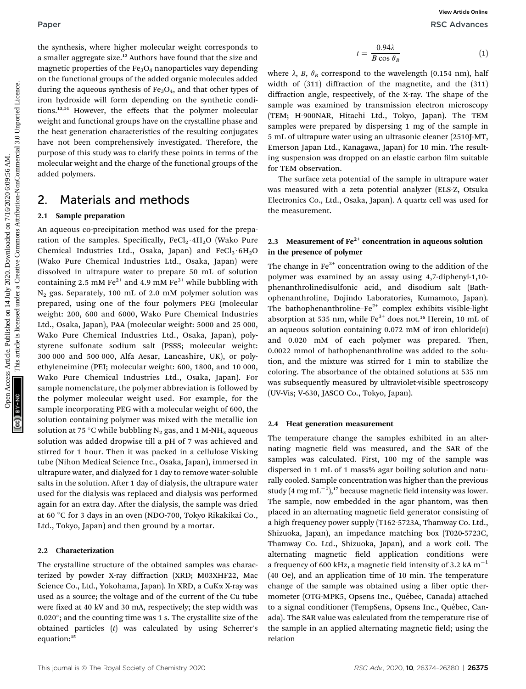the synthesis, where higher molecular weight corresponds to a smaller aggregate size.<sup>12</sup> Authors have found that the size and magnetic properties of the  $Fe<sub>3</sub>O<sub>4</sub>$  nanoparticles vary depending on the functional groups of the added organic molecules added during the aqueous synthesis of  $Fe<sub>3</sub>O<sub>4</sub>$ , and that other types of iron hydroxide will form depending on the synthetic conditions.13,14 However, the effects that the polymer molecular weight and functional groups have on the crystalline phase and the heat generation characteristics of the resulting conjugates have not been comprehensively investigated. Therefore, the purpose of this study was to clarify these points in terms of the molecular weight and the charge of the functional groups of the added polymers.

## 2. Materials and methods

## $\mathbf{r} \cdot \mathbf{r}$  and preparation

An aqueous co-precipitation method was used for the preparation of the samples. Specifically,  $FeCl<sub>2</sub>·4H<sub>2</sub>O$  (Wako Pure Chemical Industries Ltd., Osaka, Japan) and  $FeCl<sub>3</sub>·6H<sub>2</sub>O$ (Wako Pure Chemical Industries Ltd., Osaka, Japan) were dissolved in ultrapure water to prepare 50 mL of solution containing 2.5 mM Fe<sup>2+</sup> and 4.9 mM Fe<sup>3+</sup> while bubbling with  $N_2$  gas. Separately, 100 mL of 2.0 mM polymer solution was prepared, using one of the four polymers PEG (molecular weight: 200, 600 and 6000, Wako Pure Chemical Industries Ltd., Osaka, Japan), PAA (molecular weight: 5000 and 25 000, Wako Pure Chemical Industries Ltd., Osaka, Japan), polystyrene sulfonate sodium salt (PSSS; molecular weight: 300 000 and 500 000, Alfa Aesar, Lancashire, UK), or polyethyleneimine (PEI; molecular weight: 600, 1800, and 10 000, Wako Pure Chemical Industries Ltd., Osaka, Japan). For sample nomenclature, the polymer abbreviation is followed by the polymer molecular weight used. For example, for the sample incorporating PEG with a molecular weight of 600, the solution containing polymer was mixed with the metallic ion solution at 75 °C while bubbling  $N_2$  gas, and 1 M-NH<sub>3</sub> aqueous solution was added dropwise till a pH of 7 was achieved and stirred for 1 hour. Then it was packed in a cellulose Visking tube (Nihon Medical Science Inc., Osaka, Japan), immersed in ultrapure water, and dialyzed for 1 day to remove water-soluble salts in the solution. After 1 day of dialysis, the ultrapure water used for the dialysis was replaced and dialysis was performed again for an extra day. After the dialysis, the sample was dried at 60 °C for 3 days in an oven (NDO-700, Tokyo Rikakikai Co., Ltd., Tokyo, Japan) and then ground by a mortar. Paper<br>
Use consider higher molecular weight corresponds to<br>
it are entired accepted on the form depending on the form of the fact of the state is likely and the the state of the state of the state of the state is likely a

The crystalline structure of the obtained samples was characterized by powder X-ray diffraction (XRD; M03XHF22, Mac Science Co., Ltd., Yokohama, Japan). In XRD, a CuKa X-ray was used as a source; the voltage and of the current of the Cu tube were fixed at 40 kV and 30 mA, respectively; the step width was  $0.020^{\circ}$ ; and the counting time was 1 s. The crystallite size of the obtained particles (t) was calculated by using Scherrer's equation:<sup>15</sup>

$$
t = \frac{0.94\lambda}{B\cos\theta_B} \tag{1}
$$

where  $\lambda$ ,  $B$ ,  $\theta_B$  correspond to the wavelength (0.154 nm), half width of (311) diffraction of the magnetite, and the (311) diffraction angle, respectively, of the X-ray. The shape of the sample was examined by transmission electron microscopy (TEM; H-900NAR, Hitachi Ltd., Tokyo, Japan). The TEM samples were prepared by dispersing 1 mg of the sample in 5 mL of ultrapure water using an ultrasonic cleaner (2510J-MT, Emerson Japan Ltd., Kanagawa, Japan) for 10 min. The resulting suspension was dropped on an elastic carbon film suitable for TEM observation.

The surface zeta potential of the sample in ultrapure water was measured with a zeta potential analyzer (ELS-Z, Otsuka Electronics Co., Ltd., Osaka, Japan). A quartz cell was used for the measurement.

# 2.3 Measurement of  $Fe^{2+}$  concentration in aqueous solution<br>in the presence of polymer

The change in  $Fe^{2+}$  concentration owing to the addition of the polymer was examined by an assay using 4,7-diphenyl-1,10 phenanthrolinedisulfonic acid, and disodium salt (Bathophenanthroline, Dojindo Laboratories, Kumamoto, Japan). The bathophenanthroline– $Fe^{2+}$  complex exhibits visible-light absorption at 535 nm, while  $Fe<sup>3+</sup>$  does not.<sup>16</sup> Herein, 10 mL of an aqueous solution containing  $0.072$  mM of iron chloride(II) and 0.020 mM of each polymer was prepared. Then, 0.0022 mmol of bathophenanthroline was added to the solution, and the mixture was stirred for 1 min to stabilize the coloring. The absorbance of the obtained solutions at 535 nm was subsequently measured by ultraviolet-visible spectroscopy (UV-Vis; V-630, JASCO Co., Tokyo, Japan).

## 2.4 Heat generation measurement

The temperature change the samples exhibited in an alternating magnetic field was measured, and the SAR of the samples was calculated. First, 100 mg of the sample was dispersed in 1 mL of 1 mass% agar boiling solution and naturally cooled. Sample concentration was higher than the previous study (4 mg mL $^{-1}$ ),<sup>17</sup> because magnetic field intensity was lower. The sample, now embedded in the agar phantom, was then placed in an alternating magnetic field generator consisting of a high frequency power supply (T162-5723A, Thamway Co. Ltd., Shizuoka, Japan), an impedance matching box (T020-5723C, Thamway Co. Ltd., Shizuoka, Japan), and a work coil. The alternating magnetic field application conditions were a frequency of 600 kHz, a magnetic field intensity of 3.2 kA  $m^{-1}$ (40 Oe), and an application time of 10 min. The temperature change of the sample was obtained using a fiber optic thermometer (OTG-MPK5, Opsens Inc., Québec, Canada) attached to a signal conditioner (TempSens, Opsens Inc., Québec, Canada). The SAR value was calculated from the temperature rise of the sample in an applied alternating magnetic field; using the relation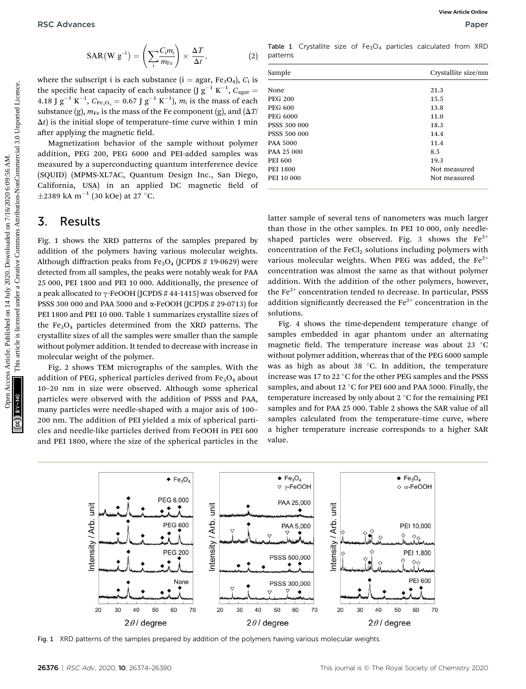$$
SAR (W g^{-1}) = \left(\sum_{i} \frac{C_{i} m_{i}}{m_{Fe}}\right) \times \frac{\Delta T}{\Delta t}, \qquad (2)
$$

where the subscript i is each substance (i = agar, Fe<sub>3</sub>O<sub>4</sub>),  $C_i$  is the specific heat capacity of each substance  $(\text{J g}^{-1} \text{ K}^{-1}, C_{\text{agar}} =$ 4.18 J  $g^{-1} K^{-1}$ ,  $C_{Fe_3O_4} = 0.67$  J  $g^{-1} K^{-1}$ ),  $m_i$  is the mass of each substance (g),  $m_{\text{Fe}}$  is the mass of the Fe component (g), and ( $\Delta T$ /  $\Delta t$ ) is the initial slope of temperature–time curve within 1 min after applying the magnetic field.

Magnetization behavior of the sample without polymer addition, PEG 200, PEG 6000 and PEI-added samples was measured by a superconducting quantum interference device (SQUID) (MPMS-XL7AC, Quantum Design Inc., San Diego, California, USA) in an applied DC magnetic field of  $\pm$ 2389 kA m<sup>-1</sup> (30 kOe) at 27 °C.

## 3. Results

Fig. 1 shows the XRD patterns of the samples prepared by addition of the polymers having various molecular weights. Although diffraction peaks from  $Fe<sub>3</sub>O<sub>4</sub>$  (JCPDS # 19-0629) were detected from all samples, the peaks were notably weak for PAA 25 000, PEI 1800 and PEI 10 000. Additionally, the presence of a peak allocated to  $\gamma$ -FeOOH (JCPDS #44-1415) was observed for PSSS 300 000 and PAA 5000 and a-FeOOH (JCPDS # 29-0713) for PEI 1800 and PEI 10 000. Table 1 summarizes crystallite sizes of the  $Fe<sub>3</sub>O<sub>4</sub>$  particles determined from the XRD patterns. The crystallite sizes of all the samples were smaller than the sample without polymer addition. It tended to decrease with increase in molecular weight of the polymer. **PSC** Advances  $\sqrt{R(N \pi^4)} = \left(\sum_{i=1}^{C_i / m_i}\right) \times \Delta T$ <br>
Where the subscript is each substrate (i = agar, Po,O,), G, is  $\frac{S_{\text{sample}}}{2}$ <br>
where the subscript is tech substrate (ii = agar, Po,O,), G, is  $\frac{S_{\text{sample}}}{2}$ <br>
and Fig

Fig. 2 shows TEM micrographs of the samples. With the addition of PEG, spherical particles derived from  $Fe<sub>3</sub>O<sub>4</sub>$  about 10–20 nm in size were observed. Although some spherical particles were observed with the addition of PSSS and PAA, many particles were needle-shaped with a major axis of 100– 200 nm. The addition of PEI yielded a mix of spherical particles and needle-like particles derived from FeOOH in PEI 600 and PEI 1800, where the size of the spherical particles in the

Table 1 Crystallite size of  $Fe<sub>3</sub>O<sub>4</sub>$  particles calculated from XRD patterns

| Sample              | Crystallite size/nm |
|---------------------|---------------------|
|                     |                     |
| None                | 21.3                |
| <b>PEG 200</b>      | 15.5                |
| <b>PEG 600</b>      | 13.8                |
| <b>PEG 6000</b>     | 11.0                |
| <b>PSSS 300 000</b> | 18.3                |
| <b>PSSS 500 000</b> | 14.4                |
| PAA 5000            | 11.4                |
| PAA 25 000          | 8.5                 |
| <b>PEI 600</b>      | 19.3                |
| <b>PEI 1800</b>     | Not measured        |
| PEI 10 000          | Not measured        |

latter sample of several tens of nanometers was much larger than those in the other samples. In PEI 10 000, only needleshaped particles were observed. Fig. 3 shows the  $Fe^{2+}$ concentration of the  $\text{FeCl}_2$  solutions including polymers with various molecular weights. When PEG was added, the  $Fe<sup>2+</sup>$ concentration was almost the same as that without polymer addition. With the addition of the other polymers, however, the  $Fe<sup>2+</sup>$  concentration tended to decrease. In particular, PSSS addition significantly decreased the  $Fe<sup>2+</sup>$  concentration in the solutions.

Fig. 4 shows the time-dependent temperature change of samples embedded in agar phantom under an alternating magnetic field. The temperature increase was about 23  $^{\circ}$ C without polymer addition, whereas that of the PEG 6000 sample was as high as about 38  $^{\circ}$ C. In addition, the temperature increase was 17 to 22  $\degree$ C for the other PEG samples and the PSSS samples, and about 12 °C for PEI 600 and PAA 5000. Finally, the temperature increased by only about  $2^{\circ}$ C for the remaining PEI samples and for PAA 25 000. Table 2 shows the SAR value of all samples calculated from the temperature–time curve, where a higher temperature increase corresponds to a higher SAR value.



Fig. 1 XRD patterns of the samples prepared by addition of the polymers having various molecular weights.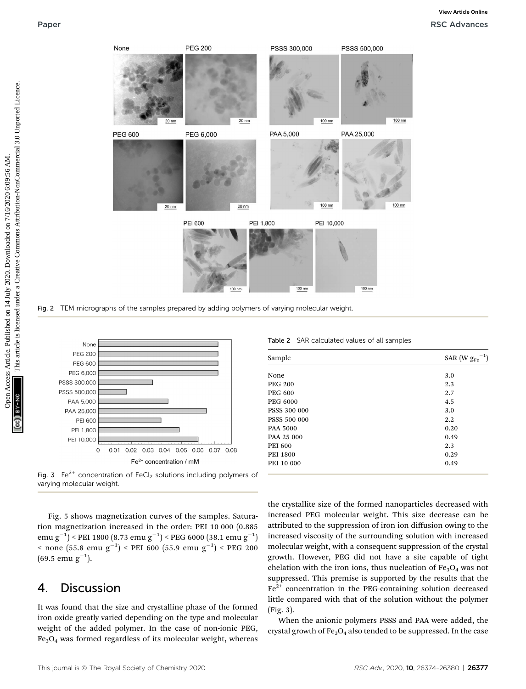

Fig. 2 TEM micrographs of the samples prepared by adding polymers of varying molecular weight



Fig. 3  $Fe^{2+}$  concentration of FeCl<sub>2</sub> solutions including polymers of varying molecular weight.

Fig. 5 shows magnetization curves of the samples. Saturation magnetization increased in the order: PEI 10 000 (0.885 emu g $^{-1})$  < PEI 1800  $(8.73\;{\rm emu}\;{\rm g}^{-1})$  < PEG 6000  $(38.1\;{\rm emu}\;{\rm g}^{-1})$  $<$  none (55.8 emu g $^{-1})$   $<$  PEI 600 (55.9 emu g $^{-1})$   $<$  PEG 200  $(69.5 \text{ emu g}^{-1}).$ 

## 4. Discussion

It was found that the size and crystalline phase of the formed iron oxide greatly varied depending on the type and molecular weight of the added polymer. In the case of non-ionic PEG,  $Fe<sub>3</sub>O<sub>4</sub>$  was formed regardless of its molecular weight, whereas

Table 2 SAR calculated values of all samples

| Sample          | SAR (W $\mathrm{g_{Fe}}^{-1})$ |
|-----------------|--------------------------------|
| None            | 3.0                            |
| <b>PEG 200</b>  | 2.3                            |
| <b>PEG 600</b>  | 2.7                            |
| <b>PEG 6000</b> | 4.5                            |
| PSSS 300 000    | 3.0                            |
| PSSS 500 000    | 2.2                            |
| <b>PAA 5000</b> | 0.20                           |
| PAA 25 000      | 0.49                           |
| <b>PEI 600</b>  | 2.3                            |
| <b>PEI 1800</b> | 0.29                           |
| PEI 10 000      | 0.49                           |

the crystallite size of the formed nanoparticles decreased with increased PEG molecular weight. This size decrease can be attributed to the suppression of iron ion diffusion owing to the increased viscosity of the surrounding solution with increased molecular weight, with a consequent suppression of the crystal growth. However, PEG did not have a site capable of tight chelation with the iron ions, thus nucleation of  $Fe<sub>3</sub>O<sub>4</sub>$  was not suppressed. This premise is supported by the results that the  $Fe<sup>2+</sup>$  concentration in the PEG-containing solution decreased little compared with that of the solution without the polymer (Fig. 3).

When the anionic polymers PSSS and PAA were added, the crystal growth of  $Fe<sub>3</sub>O<sub>4</sub>$  also tended to be suppressed. In the case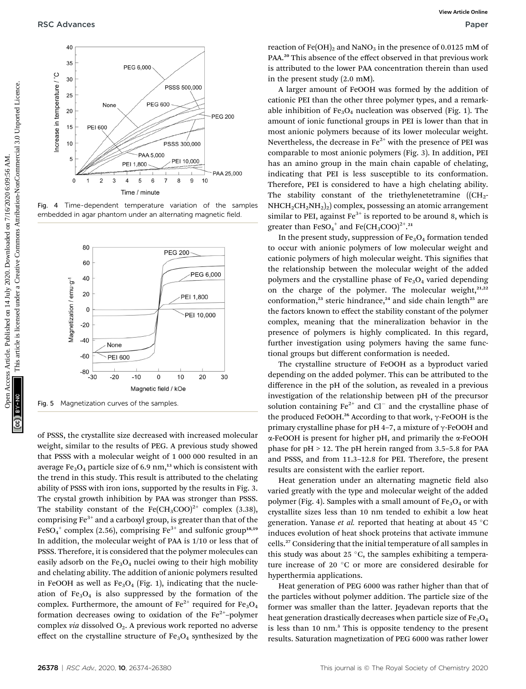

Fig. 4 Time-dependent temperature variation of the samples embedded in agar phantom under an alternating magnetic field.



of PSSS, the crystallite size decreased with increased molecular weight, similar to the results of PEG. A previous study showed that PSSS with a molecular weight of 1 000 000 resulted in an average  $Fe<sub>3</sub>O<sub>4</sub>$  particle size of 6.9 nm,<sup>13</sup> which is consistent with the trend in this study. This result is attributed to the chelating ability of PSSS with iron ions, supported by the results in Fig. 3. The crystal growth inhibition by PAA was stronger than PSSS. The stability constant of the Fe(CH<sub>3</sub>COO)<sup>2+</sup> complex (3.38), comprising  $Fe<sup>3+</sup>$  and a carboxyl group, is greater than that of the FeSO $_4^+$  complex (2.56), comprising Fe $^{3+}$  and sulfonic group $^{\rm 18,19}$ In addition, the molecular weight of PAA is 1/10 or less that of PSSS. Therefore, it is considered that the polymer molecules can easily adsorb on the  $Fe<sub>3</sub>O<sub>4</sub>$  nuclei owing to their high mobility and chelating ability. The addition of anionic polymers resulted in FeOOH as well as  $Fe<sub>3</sub>O<sub>4</sub>$  (Fig. 1), indicating that the nucleation of  $Fe<sub>3</sub>O<sub>4</sub>$  is also suppressed by the formation of the complex. Furthermore, the amount of  $Fe^{2+}$  required for  $Fe_3O_4$ formation decreases owing to oxidation of the  $Fe<sup>2+</sup>$ -polymer complex *via* dissolved  $O_2$ . A previous work reported no adverse effect on the crystalline structure of  $Fe<sub>3</sub>O<sub>4</sub>$  synthesized by the

reaction of  $Fe(OH)_2$  and NaNO<sub>3</sub> in the presence of 0.0125 mM of PAA.<sup>20</sup> This absence of the effect observed in that previous work is attributed to the lower PAA concentration therein than used in the present study (2.0 mM).

A larger amount of FeOOH was formed by the addition of cationic PEI than the other three polymer types, and a remarkable inhibition of  $Fe<sub>3</sub>O<sub>4</sub>$  nucleation was observed (Fig. 1). The amount of ionic functional groups in PEI is lower than that in most anionic polymers because of its lower molecular weight. Nevertheless, the decrease in  $Fe^{2+}$  with the presence of PEI was comparable to most anionic polymers (Fig. 3). In addition, PEI has an amino group in the main chain capable of chelating, indicating that PEI is less susceptible to its conformation. Therefore, PEI is considered to have a high chelating ability. The stability constant of the triethylenetetramine ((CH<sub>2</sub>- $NHCH_2CH_2NH_2$ )<sub>2</sub>) complex, possessing an atomic arrangement similar to PEI, against  $Fe<sup>3+</sup>$  is reported to be around 8, which is greater than  $\mathrm{FeSO_4}^+$  and  $\mathrm{Fe}(\mathrm{CH_3COO})^{2^+}.^{21}$ 

In the present study, suppression of  $Fe<sub>3</sub>O<sub>4</sub>$  formation tended to occur with anionic polymers of low molecular weight and cationic polymers of high molecular weight. This signifies that the relationship between the molecular weight of the added polymers and the crystalline phase of  $Fe<sub>3</sub>O<sub>4</sub>$  varied depending on the charge of the polymer. The molecular weight, $21,22$ conformation,<sup>23</sup> steric hindrance,<sup>24</sup> and side chain length<sup>25</sup> are the factors known to effect the stability constant of the polymer complex, meaning that the mineralization behavior in the presence of polymers is highly complicated. In this regard, further investigation using polymers having the same functional groups but different conformation is needed.

The crystalline structure of FeOOH as a byproduct varied depending on the added polymer. This can be attributed to the difference in the pH of the solution, as revealed in a previous investigation of the relationship between pH of the precursor solution containing  $Fe^{2+}$  and  $Cl^-$  and the crystalline phase of the produced FeOOH.<sup>26</sup> According to that work,  $\gamma$ -FeOOH is the primary crystalline phase for pH 4-7, a mixture of  $\gamma$ -FeOOH and  $\alpha$ -FeOOH is present for higher pH, and primarily the  $\alpha$ -FeOOH phase for pH > 12. The pH herein ranged from 3.5–5.8 for PAA and PSSS, and from 11.3–12.8 for PEI. Therefore, the present results are consistent with the earlier report.

Heat generation under an alternating magnetic field also varied greatly with the type and molecular weight of the added polymer (Fig. 4). Samples with a small amount of  $Fe<sub>3</sub>O<sub>4</sub>$  or with crystallite sizes less than 10 nm tended to exhibit a low heat generation. Yanase et al. reported that heating at about 45  $^{\circ}$ C induces evolution of heat shock proteins that activate immune cells.<sup>27</sup> Considering that the initial temperature of all samples in this study was about 25  $\degree$ C, the samples exhibiting a temperature increase of 20 $\degree$ C or more are considered desirable for hyperthermia applications.

Heat generation of PEG 6000 was rather higher than that of the particles without polymer addition. The particle size of the former was smaller than the latter. Jeyadevan reports that the heat generation drastically decreases when particle size of  $Fe<sub>3</sub>O<sub>4</sub>$ is less than 10 nm.<sup>3</sup> This is opposite tendency to the present results. Saturation magnetization of PEG 6000 was rather lower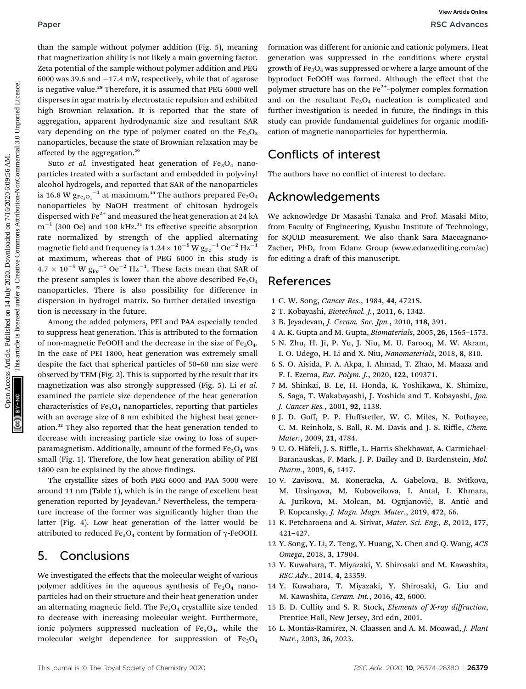than the sample without polymer addition (Fig. 5), meaning that magnetization ability is not likely a main governing factor. Zeta potential of the sample without polymer addition and PEG 6000 was 39.6 and  $-17.4$  mV, respectively, while that of agarose is negative value.<sup>28</sup> Therefore, it is assumed that PEG 6000 well disperses in agar matrix by electrostatic repulsion and exhibited high Brownian relaxation. It is reported that the state of aggregation, apparent hydrodynamic size and resultant SAR vary depending on the type of polymer coated on the  $Fe<sub>2</sub>O<sub>3</sub>$ nanoparticles, because the state of Brownian relaxation may be affected by the aggregation.29

Suto et al. investigated heat generation of  $Fe<sub>3</sub>O<sub>4</sub>$  nanoparticles treated with a surfactant and embedded in polyvinyl alcohol hydrogels, and reported that SAR of the nanoparticles is 16.8 W  $\rm g_{Fe_3O_4}^{-1}$  at maximum.<sup>30</sup> The authors prepared  $\rm Fe_3O_4$ nanoparticles by NaOH treatment of chitosan hydrogels dispersed with  $Fe<sup>2+</sup>$  and measured the heat generation at 24 kA  $m^{-1}$  (300 Oe) and 100 kHz.<sup>31</sup> Its effective specific absorption rate normalized by strength of the applied alternating magnetic field and frequency is  $1.24 \times 10^{-8}$  W  $g_{Fe}^{-1}$  Oe<sup>-2</sup> Hz<sup>-1</sup> at maximum, whereas that of PEG 6000 in this study is  $4.7 \times 10^{-9}$  W  $\text{g}_{\text{Fe}}^{-1}$  Oe<sup>-2</sup> Hz<sup>-1</sup>. These facts mean that SAR of the present samples is lower than the above described  $Fe<sub>3</sub>O<sub>4</sub>$ nanoparticles. There is also possibility for difference in dispersion in hydrogel matrix. So further detailed investigation is necessary in the future. **Paper**<br>
Open Has sample without node they are the published on 2 Sources Article is the main of the common access are the sample of the common access Article is likely and the sample valid in the common sources are the c

Among the added polymers, PEI and PAA especially tended to suppress heat generation. This is attributed to the formation of non-magnetic FeOOH and the decrease in the size of  $Fe<sub>3</sub>O<sub>4</sub>$ . In the case of PEI 1800, heat generation was extremely small despite the fact that spherical particles of 50–60 nm size were observed by TEM (Fig. 2). This is supported by the result that its magnetization was also strongly suppressed (Fig. 5). Li et al. examined the particle size dependence of the heat generation characteristics of  $Fe<sub>3</sub>O<sub>4</sub>$  nanoparticles, reporting that particles with an average size of 8 nm exhibited the highest heat generation.<sup>32</sup> They also reported that the heat generation tended to decrease with increasing particle size owing to loss of superparamagnetism. Additionally, amount of the formed  $Fe<sub>3</sub>O<sub>4</sub>$  was small (Fig. 1). Therefore, the low heat generation ability of PEI 1800 can be explained by the above findings.

The crystallite sizes of both PEG 6000 and PAA 5000 were around 11 nm (Table 1), which is in the range of excellent heat generation reported by Jeyadevan.3 Nevertheless, the temperature increase of the former was signicantly higher than the latter (Fig. 4). Low heat generation of the latter would be attributed to reduced Fe<sub>3</sub>O<sub>4</sub> content by formation of  $\gamma$ -FeOOH.

## 5. Conclusions

We investigated the effects that the molecular weight of various polymer additives in the aqueous synthesis of  $Fe<sub>3</sub>O<sub>4</sub>$  nanoparticles had on their structure and their heat generation under an alternating magnetic field. The  $Fe<sub>3</sub>O<sub>4</sub>$  crystallite size tended to decrease with increasing molecular weight. Furthermore, ionic polymers suppressed nucleation of  $Fe<sub>3</sub>O<sub>4</sub>$ , while the molecular weight dependence for suppression of  $Fe<sub>3</sub>O<sub>4</sub>$ 

formation was different for anionic and cationic polymers. Heat generation was suppressed in the conditions where crystal growth of  $Fe<sub>3</sub>O<sub>4</sub>$  was suppressed or where a large amount of the byproduct FeOOH was formed. Although the effect that the polymer structure has on the  $Fe<sup>2+</sup>$ -polymer complex formation and on the resultant  $Fe<sub>3</sub>O<sub>4</sub>$  nucleation is complicated and further investigation is needed in future, the findings in this study can provide fundamental guidelines for organic modification of magnetic nanoparticles for hyperthermia.

## Conflicts of interest

The authors have no conflict of interest to declare.

## Acknowledgements

We acknowledge Dr Masashi Tanaka and Prof. Masaki Mito, from Faculty of Engineering, Kyushu Institute of Technology, for SQUID measurement. We also thank Sara Maccagnano-Zacher, PhD, from Edanz Group (www.edanzediting.com/ac) for editing a draft of this manuscript.

## References

- 1 C. W. Song, Cancer Res., 1984, 44, 4721S.
- 2 T. Kobayashi, Biotechnol. J., 2011, 6, 1342.
- 3 B. Jeyadevan, J. Ceram. Soc. Jpn., 2010, 118, 391.
- 4 A. K. Gupta and M. Gupta, Biomaterials, 2005, 26, 1565–1573.
- 5 N. Zhu, H. Ji, P. Yu, J. Niu, M. U. Farooq, M. W. Akram, I. O. Udego, H. Li and X. Niu, Nanomaterials, 2018, 8, 810.
- 6 S. O. Aisida, P. A. Akpa, I. Ahmad, T. Zhao, M. Maaza and F. I. Ezema, Eur. Polym. J., 2020, 122, 109371.
- 7 M. Shinkai, B. Le, H. Honda, K. Yoshikawa, K. Shimizu, S. Saga, T. Wakabayashi, J. Yoshida and T. Kobayashi, Jpn. J. Cancer Res., 2001, 92, 1138.
- 8 J. D. Goff, P. P. Huffstetler, W. C. Miles, N. Pothayee, C. M. Reinholz, S. Ball, R. M. Davis and J. S. Riffle, Chem. Mater., 2009, 21, 4784.
- 9 U. O. Häfeli, J. S. Riffle, L. Harris-Shekhawat, A. Carmichael-Baranauskas, F. Mark, J. P. Dailey and D. Bardenstein, Mol. Pharm., 2009, 6, 1417.
- 10 V. Zavisova, M. Koneracka, A. Gabelova, B. Svitkova, M. Ursinyova, M. Kubovcikova, I. Antal, I. Khmara, A. Jurikova, M. Molcan, M. Ognjanović, B. Antić and P. Kopcansky, J. Magn. Magn. Mater., 2019, 472, 66.
- 11 K. Petcharoena and A. Sirivat, Mater. Sci. Eng., B, 2012, 177, 421–427.
- 12 Y. Song, Y. Li, Z. Teng, Y. Huang, X. Chen and Q. Wang, ACS Omega, 2018, 3, 17904.
- 13 Y. Kuwahara, T. Miyazaki, Y. Shirosaki and M. Kawashita, RSC Adv., 2014, 4, 23359.
- 14 Y. Kuwahara, T. Miyazaki, Y. Shirosaki, G. Liu and M. Kawashita, Ceram. Int., 2016, 42, 6000.
- 15 B. D. Cullity and S. R. Stock, Elements of X-ray diffraction, Prentice Hall, New Jersey, 3rd edn, 2001.
- 16 L. Montás-Ramírez, N. Claassen and A. M. Moawad, J. Plant Nutr., 2003, 26, 2023.